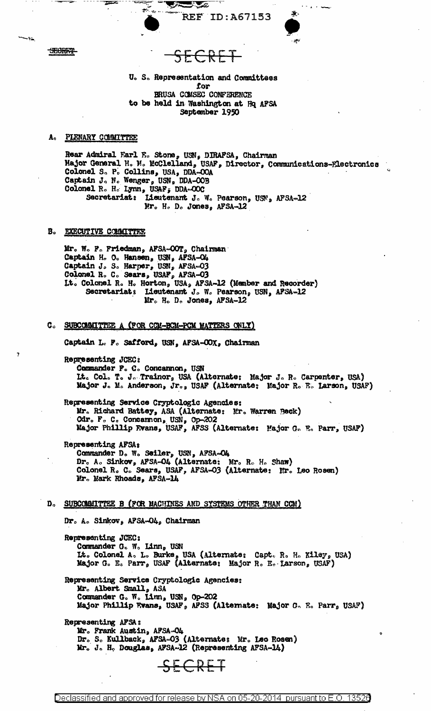**REF ID: A67153** 

SECRET

-41

# <del>K L</del>

<u>a d</u>e

Ņ

U. S. Representation and Committees for BRUSA COMSEC CONFERENCE to be held in Washington at Hq AFSA September 1950

#### A. PLENARY COMMITTEE

Rear Admiral Earl E. Stone, USN, DIRAFSA, Chairman Major General H. M. McClelland, USAF, Director, Communications-Electronics Colonel S. P. Collins, USA, DDA-COA Captain J. N. Wenger, USN, DDA-OOB Colonel R. H. Lynn, USAF, DDA-OOC Secretariat: Lieutenant J. W. Pearson, USN, AFSA-12 Mr. H. D. Jones, AFSA-12

### **B. EXECUTIVE COLMITTEE**

Mr. W. P. Friedman, AFSA-OOT, Chairman Captain H. O. Hansen, USN, AFSA-C4 Captain J. S. Harper, USN, AFSA=03<br>Colonel R. C. Sears, USAF, AFSA=03 It. Colonel R. H. Horton, USA, AFSA-12 (Member and Recorder) Secretariat: Lieutenant J. W. Pearson, USN, AFSA-12 Mr. H. D. Jones, AFSA-12

## C. SUBCOMMITTEE A (FOR COM-BOM-POM MATTERS ONLY)

Captain L. P. Safford, USN, AFSA-OOX, Chairman

Representing JCEC: Commander P. C. Concannon, USN Lt. Col. T. J. Trainor, USA (Alternate: Major J. R. Carpenter, USA) Major J. M. Anderson, Jr., USAF (Alternate: Major R. E. Larson, USAF)

Representing Service Cryptologic Agencies: Mr. Richard Battey, ASA (Alternate: Mr. Warren Beck) Cdr. F. C. Concarnon, USN, Op-202 Major Phillip Frans, USAF, AFSS (Alternate: Major G. E. Parr, USAF)

Representing AFSA: Commander D. W. Seiler, USN, AFSA-O4 Dr. A. Sinkov, AFSA-O4 (Alternate: Mr. R. H. Shaw)<br>Colonel R. C. Sears, USAF, AFSA-O3 (Alternate: Mr. Leo Rosen) Mr. Mark Rhoads, AFSA-14

#### $\mathbf{D}_{\alpha}$ SUBCOMMITTEE B (POR MACHINES AND SYSTEMS OTHER THAN COM)

Dr. A. Sinkov, AFSA-O4, Chairman

Representing JCEC: Commander G. W. Linn, USN Lt. Colonel A. L. Burke, USA (Alternate: Capt. R. H. Kiley, USA) Major G. E. Parr, USAF (Alternate: Major R. E. Larson, USAF)

Representing Service Cryptologic Agencies: Mr. Albert Small, ASA Commander G. W. Linn, USN, Op-202 Major Phillip Evans, USAF, AFSS (Alternate: Major G. E. Parr, USAF)

Representing AFSA: Mr. Frank Austin, AFSA-O4 Dr. S. Kullback, AFSA-03 (Alternate: Mr. Leo Rosen)<br>Mr. J. H. Douglas, AFSA-12 (Representing AFSA-14)

SECRET